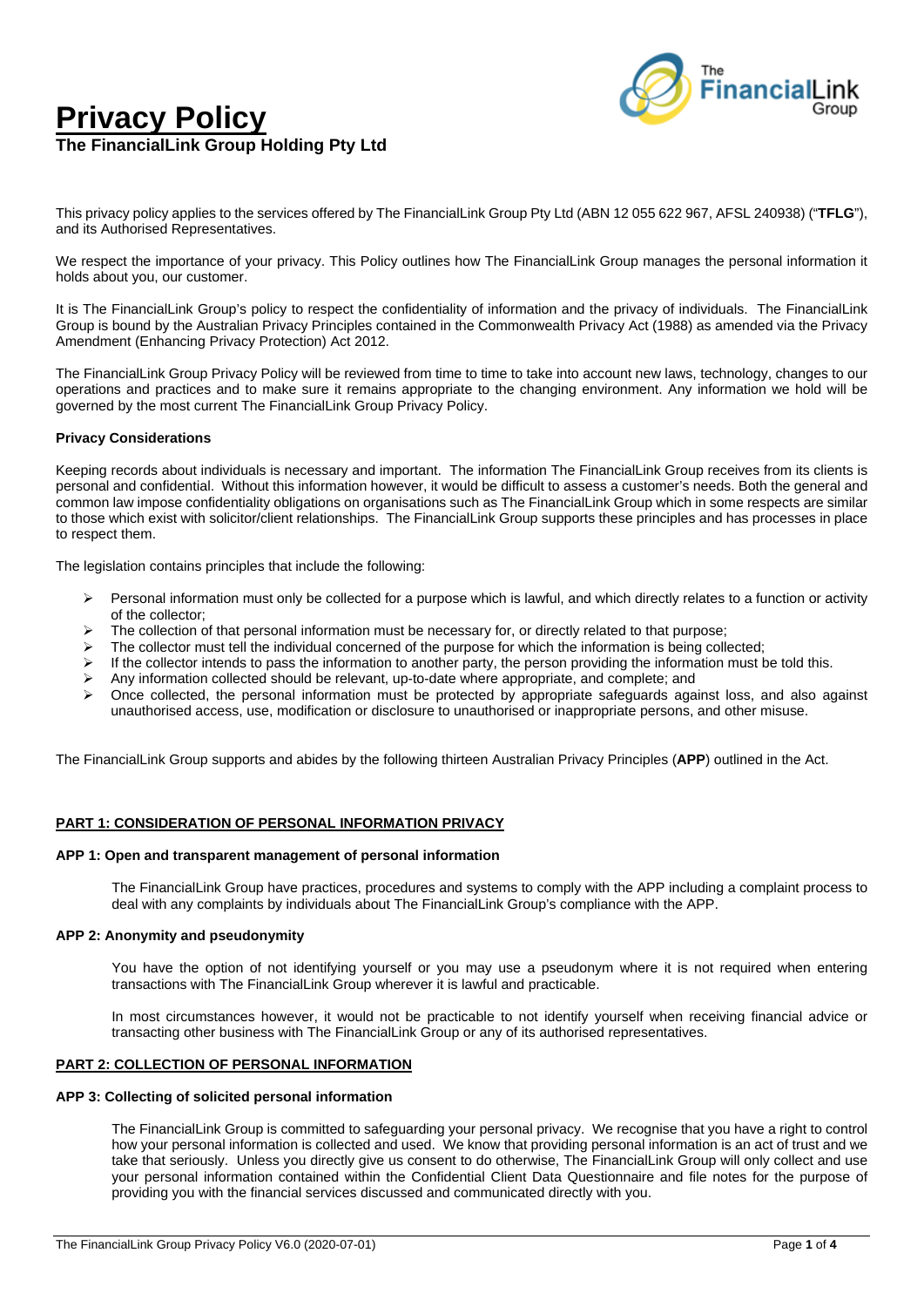## **Privacy Policy The FinancialLink Group Holding Pty Ltd**



This privacy policy applies to the services offered by The FinancialLink Group Pty Ltd (ABN 12 055 622 967, AFSL 240938) ("**TFLG**"), and its Authorised Representatives.

We respect the importance of your privacy. This Policy outlines how The FinancialLink Group manages the personal information it holds about you, our customer.

It is The FinancialLink Group's policy to respect the confidentiality of information and the privacy of individuals. The FinancialLink Group is bound by the Australian Privacy Principles contained in the Commonwealth Privacy Act (1988) as amended via the Privacy Amendment (Enhancing Privacy Protection) Act 2012.

The FinancialLink Group Privacy Policy will be reviewed from time to time to take into account new laws, technology, changes to our operations and practices and to make sure it remains appropriate to the changing environment. Any information we hold will be governed by the most current The FinancialLink Group Privacy Policy.

## **Privacy Considerations**

Keeping records about individuals is necessary and important. The information The FinancialLink Group receives from its clients is personal and confidential. Without this information however, it would be difficult to assess a customer's needs. Both the general and common law impose confidentiality obligations on organisations such as The FinancialLink Group which in some respects are similar to those which exist with solicitor/client relationships. The FinancialLink Group supports these principles and has processes in place to respect them.

The legislation contains principles that include the following:

- Personal information must only be collected for a purpose which is lawful, and which directly relates to a function or activity of the collector;
- $\triangleright$  The collection of that personal information must be necessary for, or directly related to that purpose;
- The collector must tell the individual concerned of the purpose for which the information is being collected;
- $\triangleright$  If the collector intends to pass the information to another party, the person providing the information must be told this.
- Any information collected should be relevant, up-to-date where appropriate, and complete; and
- Once collected, the personal information must be protected by appropriate safeguards against loss, and also against unauthorised access, use, modification or disclosure to unauthorised or inappropriate persons, and other misuse.

The FinancialLink Group supports and abides by the following thirteen Australian Privacy Principles (**APP**) outlined in the Act.

## **PART 1: CONSIDERATION OF PERSONAL INFORMATION PRIVACY**

### **APP 1: Open and transparent management of personal information**

The FinancialLink Group have practices, procedures and systems to comply with the APP including a complaint process to deal with any complaints by individuals about The FinancialLink Group's compliance with the APP.

### **APP 2: Anonymity and pseudonymity**

You have the option of not identifying yourself or you may use a pseudonym where it is not required when entering transactions with The FinancialLink Group wherever it is lawful and practicable.

In most circumstances however, it would not be practicable to not identify yourself when receiving financial advice or transacting other business with The FinancialLink Group or any of its authorised representatives.

## **PART 2: COLLECTION OF PERSONAL INFORMATION**

#### **APP 3: Collecting of solicited personal information**

The FinancialLink Group is committed to safeguarding your personal privacy. We recognise that you have a right to control how your personal information is collected and used. We know that providing personal information is an act of trust and we take that seriously. Unless you directly give us consent to do otherwise, The FinancialLink Group will only collect and use your personal information contained within the Confidential Client Data Questionnaire and file notes for the purpose of providing you with the financial services discussed and communicated directly with you.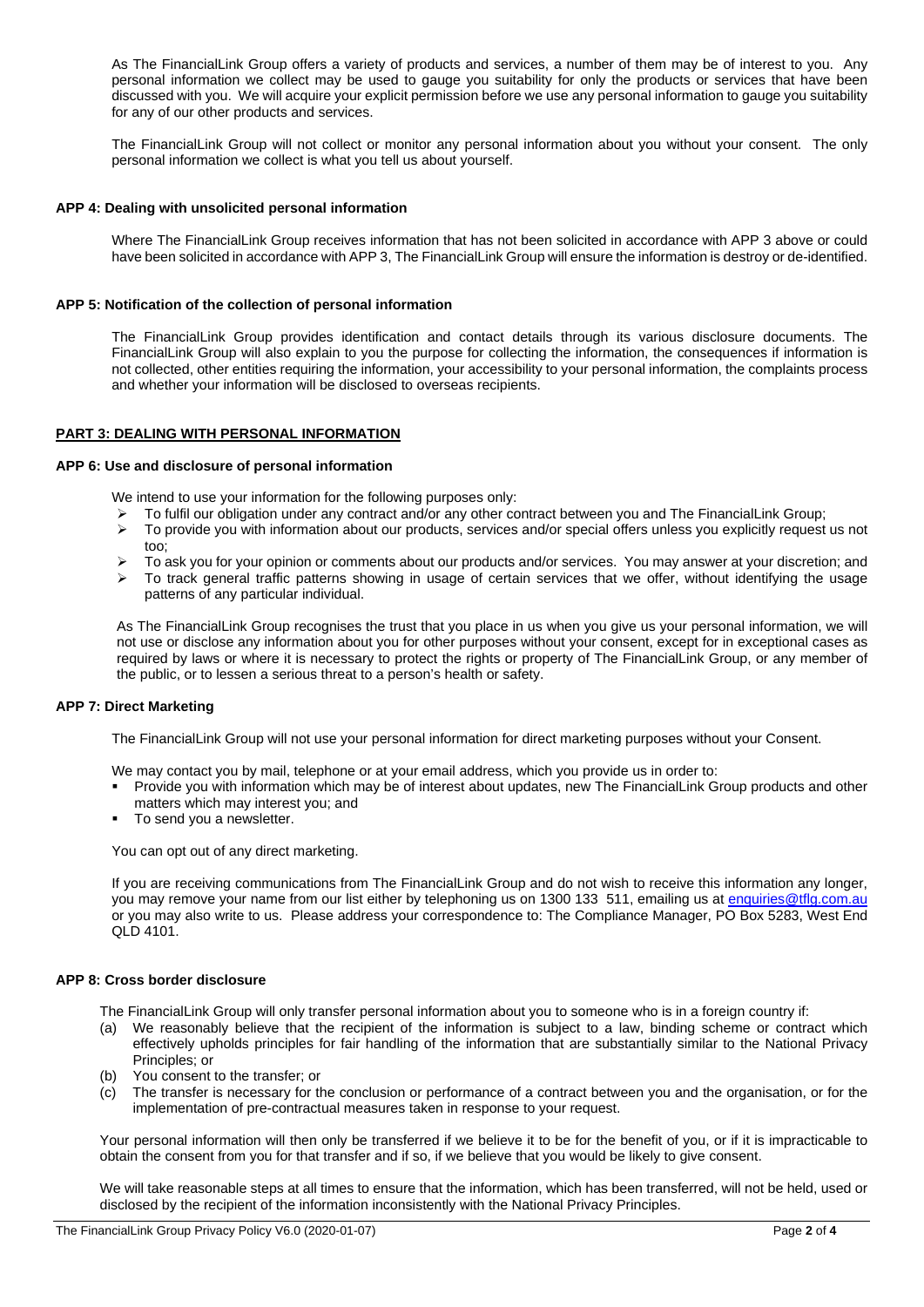As The FinancialLink Group offers a variety of products and services, a number of them may be of interest to you. Any personal information we collect may be used to gauge you suitability for only the products or services that have been discussed with you. We will acquire your explicit permission before we use any personal information to gauge you suitability for any of our other products and services.

The FinancialLink Group will not collect or monitor any personal information about you without your consent. The only personal information we collect is what you tell us about yourself.

#### **APP 4: Dealing with unsolicited personal information**

Where The FinancialLink Group receives information that has not been solicited in accordance with APP 3 above or could have been solicited in accordance with APP 3, The FinancialLink Group will ensure the information is destroy or de-identified.

#### **APP 5: Notification of the collection of personal information**

The FinancialLink Group provides identification and contact details through its various disclosure documents. The FinancialLink Group will also explain to you the purpose for collecting the information, the consequences if information is not collected, other entities requiring the information, your accessibility to your personal information, the complaints process and whether your information will be disclosed to overseas recipients.

#### **PART 3: DEALING WITH PERSONAL INFORMATION**

#### **APP 6: Use and disclosure of personal information**

We intend to use your information for the following purposes only:

- $\triangleright$  To fulfil our obligation under any contract and/or any other contract between you and The FinancialLink Group;<br>To provide you with information about our products, services and/or special offers unless you explicitl
- To provide you with information about our products, services and/or special offers unless you explicitly request us not too;
- To ask you for your opinion or comments about our products and/or services. You may answer at your discretion; and
- $\triangleright$  To track general traffic patterns showing in usage of certain services that we offer, without identifying the usage patterns of any particular individual.

As The FinancialLink Group recognises the trust that you place in us when you give us your personal information, we will not use or disclose any information about you for other purposes without your consent, except for in exceptional cases as required by laws or where it is necessary to protect the rights or property of The FinancialLink Group, or any member of the public, or to lessen a serious threat to a person's health or safety.

## **APP 7: Direct Marketing**

The FinancialLink Group will not use your personal information for direct marketing purposes without your Consent.

We may contact you by mail, telephone or at your email address, which you provide us in order to:

- Provide you with information which may be of interest about updates, new The FinancialLink Group products and other matters which may interest you; and
- To send you a newsletter.

You can opt out of any direct marketing.

If you are receiving communications from The FinancialLink Group and do not wish to receive this information any longer, you may remove your name from our list either by telephoning us on 1300 133 511, emailing us at enquiries@tflg.com.au or you may also write to us. Please address your correspondence to: The Compliance Manager, PO Box 5283, West End QLD 4101.

#### **APP 8: Cross border disclosure**

The FinancialLink Group will only transfer personal information about you to someone who is in a foreign country if:

- (a) We reasonably believe that the recipient of the information is subject to a law, binding scheme or contract which effectively upholds principles for fair handling of the information that are substantially similar to the National Privacy Principles; or
- (b) You consent to the transfer; or
- (c) The transfer is necessary for the conclusion or performance of a contract between you and the organisation, or for the implementation of pre-contractual measures taken in response to your request.

Your personal information will then only be transferred if we believe it to be for the benefit of you, or if it is impracticable to obtain the consent from you for that transfer and if so, if we believe that you would be likely to give consent.

We will take reasonable steps at all times to ensure that the information, which has been transferred, will not be held, used or disclosed by the recipient of the information inconsistently with the National Privacy Principles.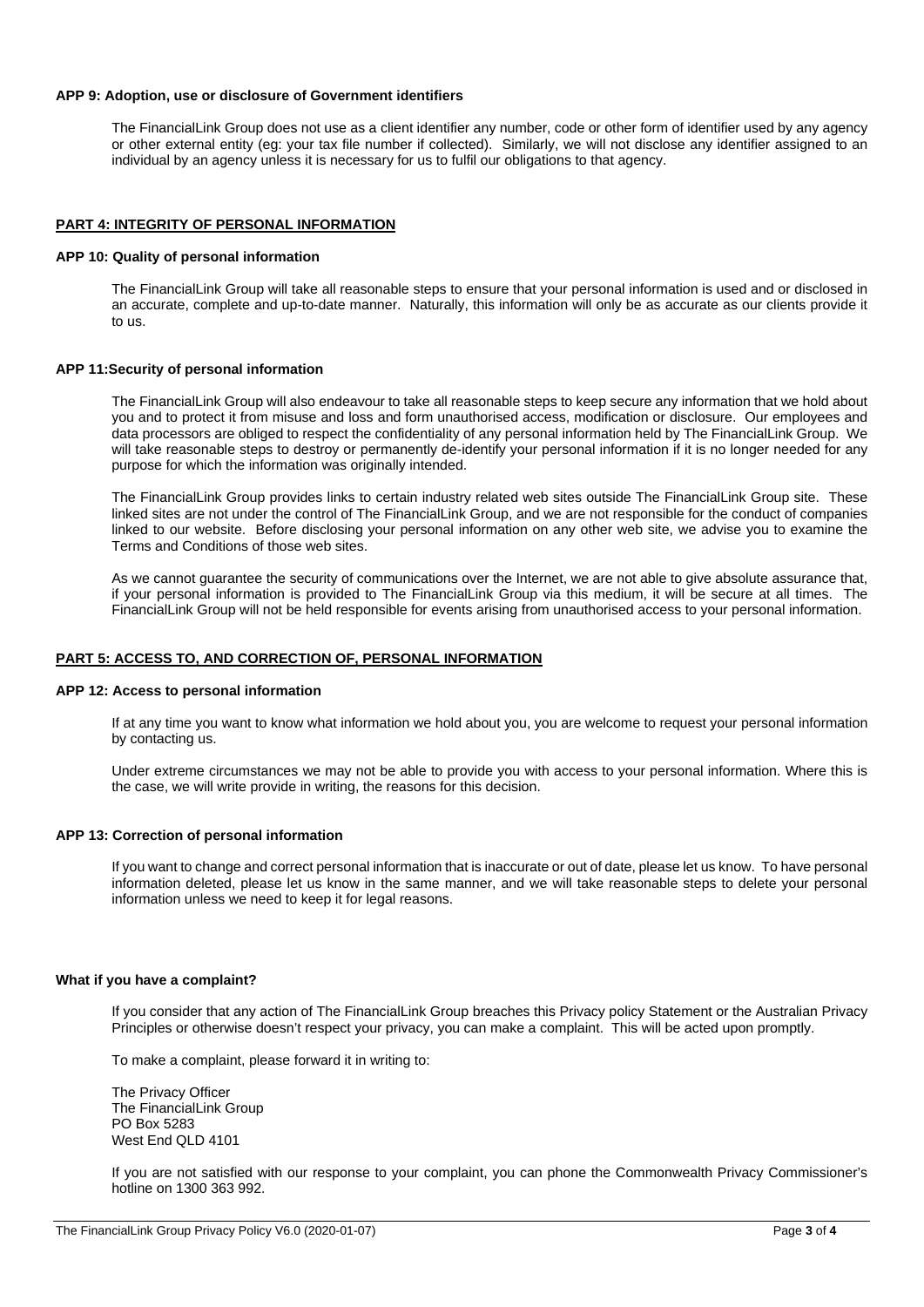## **APP 9: Adoption, use or disclosure of Government identifiers**

The FinancialLink Group does not use as a client identifier any number, code or other form of identifier used by any agency or other external entity (eg: your tax file number if collected). Similarly, we will not disclose any identifier assigned to an individual by an agency unless it is necessary for us to fulfil our obligations to that agency.

## **PART 4: INTEGRITY OF PERSONAL INFORMATION**

#### **APP 10: Quality of personal information**

The FinancialLink Group will take all reasonable steps to ensure that your personal information is used and or disclosed in an accurate, complete and up-to-date manner. Naturally, this information will only be as accurate as our clients provide it to us.

#### **APP 11:Security of personal information**

The FinancialLink Group will also endeavour to take all reasonable steps to keep secure any information that we hold about you and to protect it from misuse and loss and form unauthorised access, modification or disclosure. Our employees and data processors are obliged to respect the confidentiality of any personal information held by The FinancialLink Group. We will take reasonable steps to destroy or permanently de-identify your personal information if it is no longer needed for any purpose for which the information was originally intended.

The FinancialLink Group provides links to certain industry related web sites outside The FinancialLink Group site. These linked sites are not under the control of The FinancialLink Group, and we are not responsible for the conduct of companies linked to our website. Before disclosing your personal information on any other web site, we advise you to examine the Terms and Conditions of those web sites.

As we cannot guarantee the security of communications over the Internet, we are not able to give absolute assurance that, if your personal information is provided to The FinancialLink Group via this medium, it will be secure at all times. The FinancialLink Group will not be held responsible for events arising from unauthorised access to your personal information.

#### **PART 5: ACCESS TO, AND CORRECTION OF, PERSONAL INFORMATION**

#### **APP 12: Access to personal information**

If at any time you want to know what information we hold about you, you are welcome to request your personal information by contacting us.

Under extreme circumstances we may not be able to provide you with access to your personal information. Where this is the case, we will write provide in writing, the reasons for this decision.

## **APP 13: Correction of personal information**

If you want to change and correct personal information that is inaccurate or out of date, please let us know. To have personal information deleted, please let us know in the same manner, and we will take reasonable steps to delete your personal information unless we need to keep it for legal reasons.

#### **What if you have a complaint?**

If you consider that any action of The FinancialLink Group breaches this Privacy policy Statement or the Australian Privacy Principles or otherwise doesn't respect your privacy, you can make a complaint. This will be acted upon promptly.

To make a complaint, please forward it in writing to:

The Privacy Officer The FinancialLink Group PO Box 5283 West End OLD 4101

If you are not satisfied with our response to your complaint, you can phone the Commonwealth Privacy Commissioner's hotline on 1300 363 992.